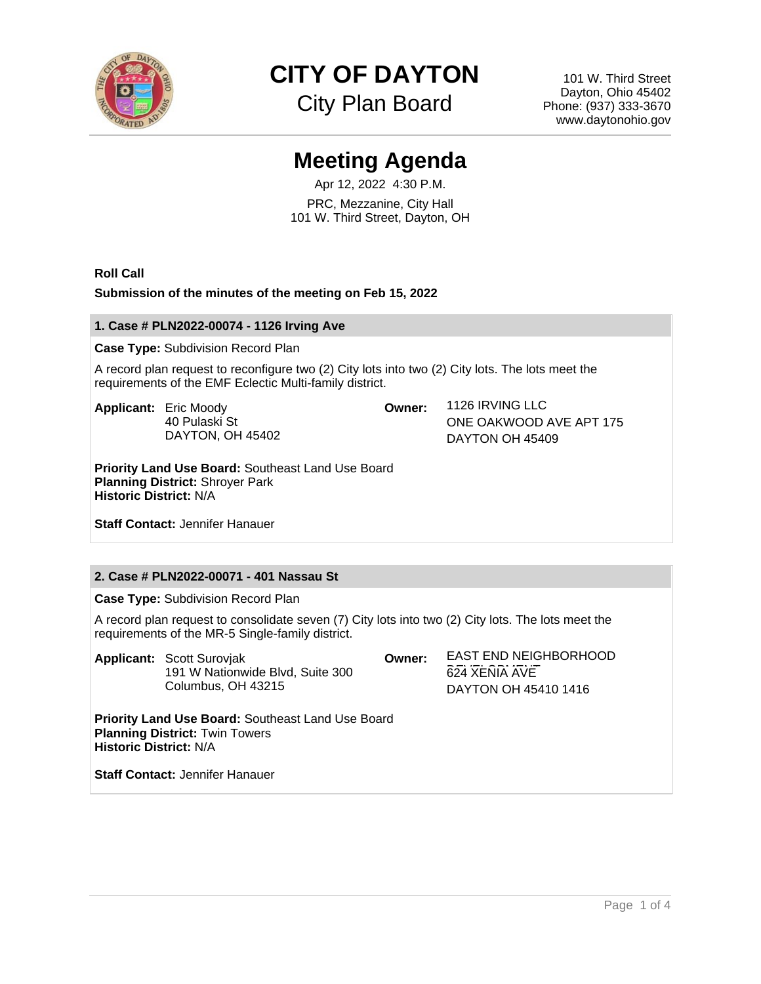

# **CITY OF DAYTON**

City Plan Board

101 W. Third Street Dayton, Ohio 45402 Phone: (937) 333-3670 www.daytonohio.gov

## **Meeting Agenda**

Apr 12, 2022 4:30 P.M. PRC, Mezzanine, City Hall 101 W. Third Street, Dayton, OH

**Roll Call**

**Submission of the minutes of the meeting on Feb 15, 2022**

#### **1. Case # PLN2022-00074 - 1126 Irving Ave**

**Case Type:** Subdivision Record Plan

A record plan request to reconfigure two (2) City lots into two (2) City lots. The lots meet the requirements of the EMF Eclectic Multi-family district.

**Applicant:** Eric Moody 40 Pulaski St DAYTON, OH 45402

**Owner:** 1126 IRVING LLC ONE OAKWOOD AVE APT 175 DAYTON OH 45409

**Priority Land Use Board:** Southeast Land Use Board **Planning District:** Shroyer Park **Historic District:** N/A

**Staff Contact:** Jennifer Hanauer

### **2. Case # PLN2022-00071 - 401 Nassau St**

**Case Type:** Subdivision Record Plan

A record plan request to consolidate seven (7) City lots into two (2) City lots. The lots meet the requirements of the MR-5 Single-family district.

|                                                                                                                                    | <b>Applicant: Scott Suroviak</b><br>191 W Nationwide Blvd, Suite 300<br>Columbus, OH 43215 | Owner: | EAST END NEIGHBORHOOD<br>624 XENIA AVE<br>DAYTON OH 45410 1416 |
|------------------------------------------------------------------------------------------------------------------------------------|--------------------------------------------------------------------------------------------|--------|----------------------------------------------------------------|
| <b>Priority Land Use Board: Southeast Land Use Board</b><br><b>Planning District: Twin Towers</b><br><b>Historic District: N/A</b> |                                                                                            |        |                                                                |
| <b>Staff Contact: Jennifer Hanauer</b>                                                                                             |                                                                                            |        |                                                                |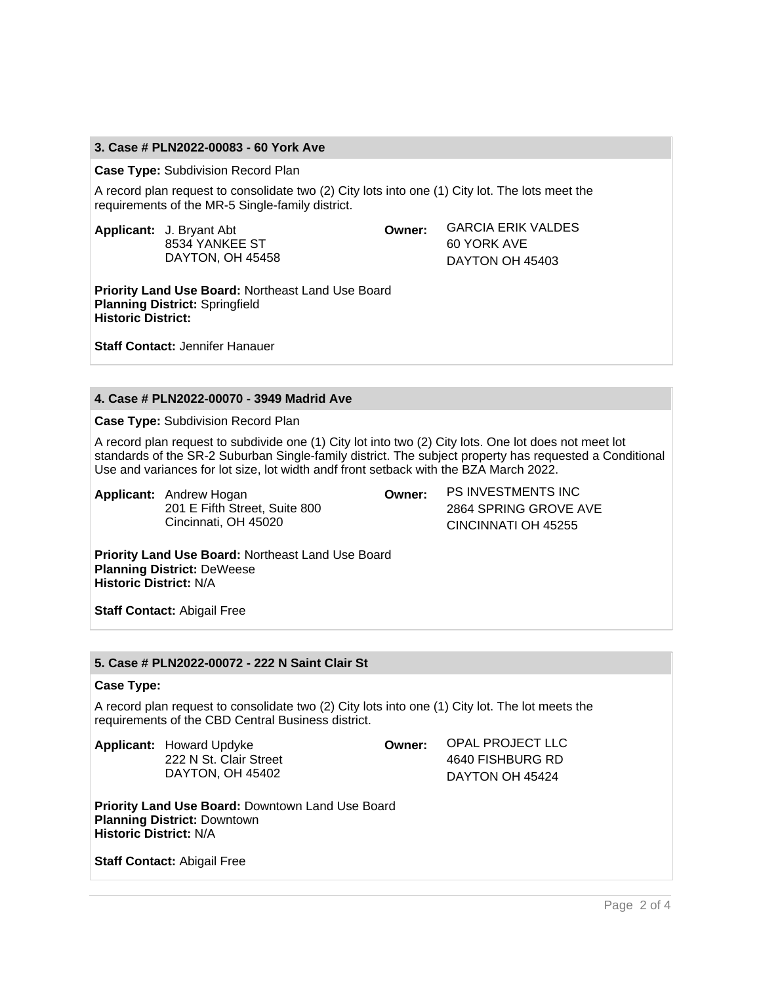#### **3. Case # PLN2022-00083 - 60 York Ave**

**Case Type:** Subdivision Record Plan

A record plan request to consolidate two (2) City lots into one (1) City lot. The lots meet the requirements of the MR-5 Single-family district.

**Applicant:** J. Bryant Abt 8534 YANKEE ST DAYTON, OH 45458 **Owner:** GARCIA ERIK VALDES 60 YORK AVE DAYTON OH 45403

**Priority Land Use Board:** Northeast Land Use Board **Planning District:** Springfield **Historic District:**

**Staff Contact:** Jennifer Hanauer

#### **4. Case # PLN2022-00070 - 3949 Madrid Ave**

**Case Type:** Subdivision Record Plan

A record plan request to subdivide one (1) City lot into two (2) City lots. One lot does not meet lot standards of the SR-2 Suburban Single-family district. The subject property has requested a Conditional Use and variances for lot size, lot width andf front setback with the BZA March 2022.

**Applicant:** Andrew Hogan 201 E Fifth Street, Suite 800 Cincinnati, OH 45020

**Owner:** PS INVESTMENTS INC 2864 SPRING GROVE AVE CINCINNATI OH 45255

**Priority Land Use Board:** Northeast Land Use Board **Planning District:** DeWeese **Historic District:** N/A

**Staff Contact:** Abigail Free

#### **5. Case # PLN2022-00072 - 222 N Saint Clair St**

#### **Case Type:**

A record plan request to consolidate two (2) City lots into one (1) City lot. The lot meets the requirements of the CBD Central Business district.

**Applicant:** Howard Updyke 222 N St. Clair Street DAYTON, OH 45402

**Owner:** OPAL PROJECT LLC 4640 FISHBURG RD

DAYTON OH 45424

**Priority Land Use Board:** Downtown Land Use Board **Planning District:** Downtown **Historic District:** N/A

**Staff Contact:** Abigail Free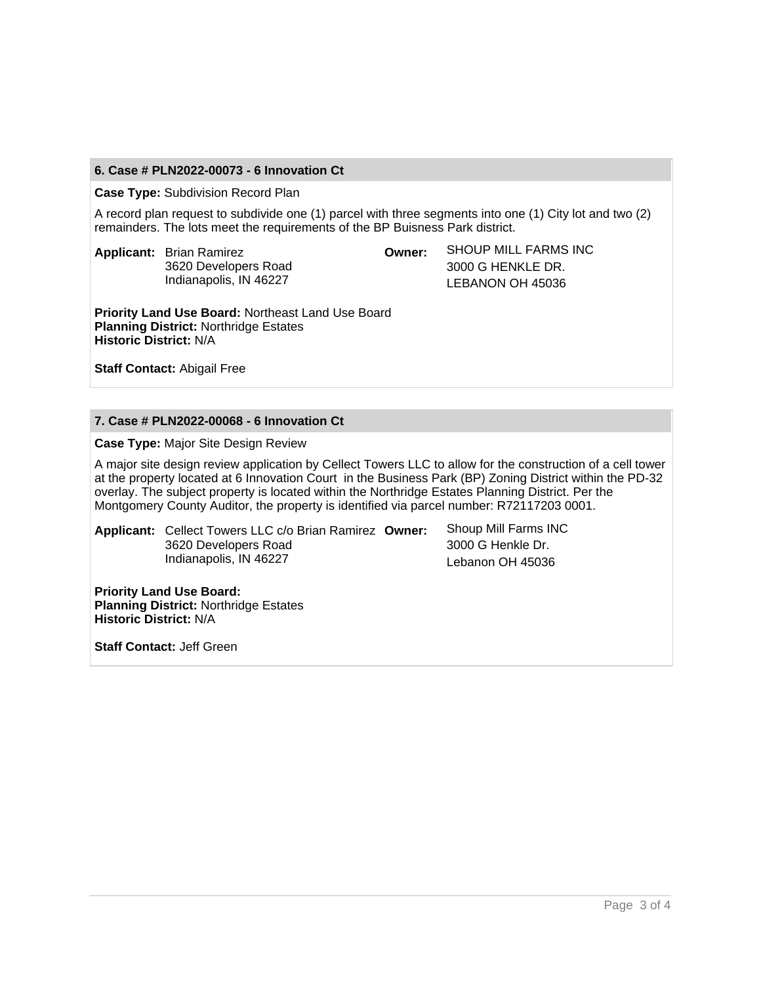#### **6. Case # PLN2022-00073 - 6 Innovation Ct**

**Case Type:** Subdivision Record Plan

A record plan request to subdivide one (1) parcel with three segments into one (1) City lot and two (2) remainders. The lots meet the requirements of the BP Buisness Park district.

**Applicant:** Brian Ramirez 3620 Developers Road Indianapolis, IN 46227

**Owner:** SHOUP MILL FARMS INC 3000 G HENKLE DR. LEBANON OH 45036

**Priority Land Use Board:** Northeast Land Use Board **Planning District:** Northridge Estates **Historic District:** N/A

**Staff Contact:** Abigail Free

#### **7. Case # PLN2022-00068 - 6 Innovation Ct**

**Case Type:** Major Site Design Review

A major site design review application by Cellect Towers LLC to allow for the construction of a cell tower at the property located at 6 Innovation Court in the Business Park (BP) Zoning District within the PD-32 overlay. The subject property is located within the Northridge Estates Planning District. Per the Montgomery County Auditor, the property is identified via parcel number: R72117203 0001.

**Applicant:** Cellect Towers LLC c/o Brian Ramirez 3620 Developers Road Indianapolis, IN 46227

Shoup Mill Farms INC 3000 G Henkle Dr. Lebanon OH 45036

**Priority Land Use Board: Planning District:** Northridge Estates **Historic District:** N/A

**Staff Contact:** Jeff Green